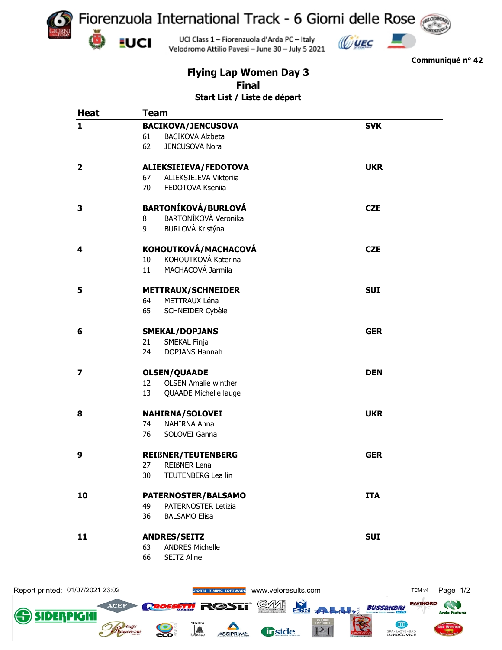

 $\mathbb{C}$ UEC  $\mathbb{C}$ 



**Communiqué n° 42**

## **Flying Lap Women Day 3 Final**

**Start List / Liste de départ**

| <b>Heat</b>             | <b>Team</b>                                      |            |  |  |
|-------------------------|--------------------------------------------------|------------|--|--|
| 1                       | <b>BACIKOVA/JENCUSOVA</b>                        | <b>SVK</b> |  |  |
|                         | 61<br><b>BACIKOVA Alzbeta</b>                    |            |  |  |
|                         | 62<br>JENCUSOVA Nora                             |            |  |  |
| $\overline{\mathbf{2}}$ | ALIEKSIEIEVA/FEDOTOVA                            | <b>UKR</b> |  |  |
|                         | 67<br>ALIEKSIEIEVA Viktoriia                     |            |  |  |
|                         | 70<br>FEDOTOVA Kseniia                           |            |  |  |
| 3                       | <b>BARTONÍKOVÁ/BURLOVÁ</b>                       | <b>CZE</b> |  |  |
|                         | BARTONÍKOVÁ Veronika<br>8                        |            |  |  |
|                         | BURLOVÁ Kristýna<br>9                            |            |  |  |
| 4                       | KOHOUTKOVÁ/MACHACOVÁ                             | <b>CZE</b> |  |  |
|                         | KOHOUTKOVÁ Katerina<br>10                        |            |  |  |
|                         | MACHACOVÁ Jarmila<br>11                          |            |  |  |
| 5                       | <b>METTRAUX/SCHNEIDER</b>                        | <b>SUI</b> |  |  |
|                         | METTRAUX Léna<br>64                              |            |  |  |
|                         | 65<br>SCHNEIDER Cybèle                           |            |  |  |
| 6                       | <b>SMEKAL/DOPJANS</b>                            | <b>GER</b> |  |  |
|                         | 21<br>SMEKAL Finja                               |            |  |  |
|                         | <b>DOPJANS Hannah</b><br>24                      |            |  |  |
| 7                       | <b>OLSEN/QUAADE</b>                              | <b>DEN</b> |  |  |
|                         | <b>OLSEN Amalie winther</b><br>$12 \overline{ }$ |            |  |  |
|                         | 13<br>QUAADE Michelle lauge                      |            |  |  |
| 8                       | NAHIRNA/SOLOVEI                                  | <b>UKR</b> |  |  |
|                         | 74<br>NAHIRNA Anna                               |            |  |  |
|                         | 76<br>SOLOVEI Ganna                              |            |  |  |
| 9                       | <b>REIßNER/TEUTENBERG</b>                        | <b>GER</b> |  |  |
|                         | 27<br>REIßNER Lena                               |            |  |  |
|                         | 30<br>TEUTENBERG Lea lin                         |            |  |  |
| 10                      | PATERNOSTER/BALSAMO                              | <b>ITA</b> |  |  |
|                         | 49<br>PATERNOSTER Letizia                        |            |  |  |
|                         | 36<br><b>BALSAMO Elisa</b>                       |            |  |  |
| 11                      | <b>ANDRES/SEITZ</b>                              | <b>SUI</b> |  |  |
|                         | <b>ANDRES Michelle</b><br>63                     |            |  |  |
|                         | 66<br>SEITZ Aline                                |            |  |  |
|                         |                                                  |            |  |  |
|                         |                                                  |            |  |  |